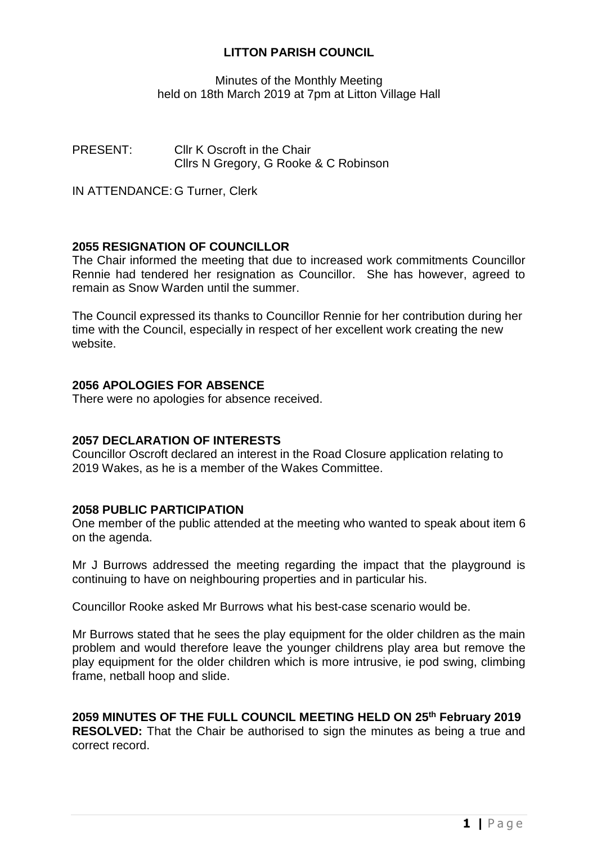## **LITTON PARISH COUNCIL**

Minutes of the Monthly Meeting held on 18th March 2019 at 7pm at Litton Village Hall

PRESENT: Cllr K Oscroft in the Chair Cllrs N Gregory, G Rooke & C Robinson

IN ATTENDANCE: G Turner, Clerk

## **2055 RESIGNATION OF COUNCILLOR**

The Chair informed the meeting that due to increased work commitments Councillor Rennie had tendered her resignation as Councillor. She has however, agreed to remain as Snow Warden until the summer.

The Council expressed its thanks to Councillor Rennie for her contribution during her time with the Council, especially in respect of her excellent work creating the new website.

# **2056 APOLOGIES FOR ABSENCE**

There were no apologies for absence received.

### **2057 DECLARATION OF INTERESTS**

Councillor Oscroft declared an interest in the Road Closure application relating to 2019 Wakes, as he is a member of the Wakes Committee.

### **2058 PUBLIC PARTICIPATION**

One member of the public attended at the meeting who wanted to speak about item 6 on the agenda.

Mr J Burrows addressed the meeting regarding the impact that the playground is continuing to have on neighbouring properties and in particular his.

Councillor Rooke asked Mr Burrows what his best-case scenario would be.

Mr Burrows stated that he sees the play equipment for the older children as the main problem and would therefore leave the younger childrens play area but remove the play equipment for the older children which is more intrusive, ie pod swing, climbing frame, netball hoop and slide.

# **2059 MINUTES OF THE FULL COUNCIL MEETING HELD ON 25th February 2019**

**RESOLVED:** That the Chair be authorised to sign the minutes as being a true and correct record.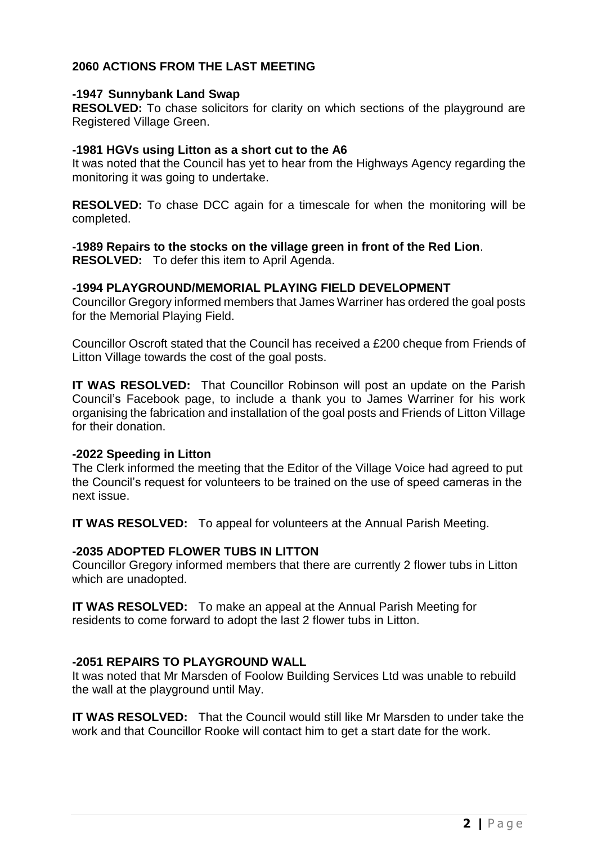# **2060 ACTIONS FROM THE LAST MEETING**

#### **-1947 Sunnybank Land Swap**

**RESOLVED:** To chase solicitors for clarity on which sections of the playground are Registered Village Green.

#### **-1981 HGVs using Litton as a short cut to the A6**

It was noted that the Council has yet to hear from the Highways Agency regarding the monitoring it was going to undertake.

**RESOLVED:** To chase DCC again for a timescale for when the monitoring will be completed.

## **-1989 Repairs to the stocks on the village green in front of the Red Lion**.

**RESOLVED:** To defer this item to April Agenda.

### **-1994 PLAYGROUND/MEMORIAL PLAYING FIELD DEVELOPMENT**

Councillor Gregory informed members that James Warriner has ordered the goal posts for the Memorial Playing Field.

Councillor Oscroft stated that the Council has received a £200 cheque from Friends of Litton Village towards the cost of the goal posts.

**IT WAS RESOLVED:** That Councillor Robinson will post an update on the Parish Council's Facebook page, to include a thank you to James Warriner for his work organising the fabrication and installation of the goal posts and Friends of Litton Village for their donation.

#### **-2022 Speeding in Litton**

The Clerk informed the meeting that the Editor of the Village Voice had agreed to put the Council's request for volunteers to be trained on the use of speed cameras in the next issue.

**IT WAS RESOLVED:** To appeal for volunteers at the Annual Parish Meeting.

### **-2035 ADOPTED FLOWER TUBS IN LITTON**

Councillor Gregory informed members that there are currently 2 flower tubs in Litton which are unadopted.

**IT WAS RESOLVED:** To make an appeal at the Annual Parish Meeting for residents to come forward to adopt the last 2 flower tubs in Litton.

### **-2051 REPAIRS TO PLAYGROUND WALL**

It was noted that Mr Marsden of Foolow Building Services Ltd was unable to rebuild the wall at the playground until May.

**IT WAS RESOLVED:** That the Council would still like Mr Marsden to under take the work and that Councillor Rooke will contact him to get a start date for the work.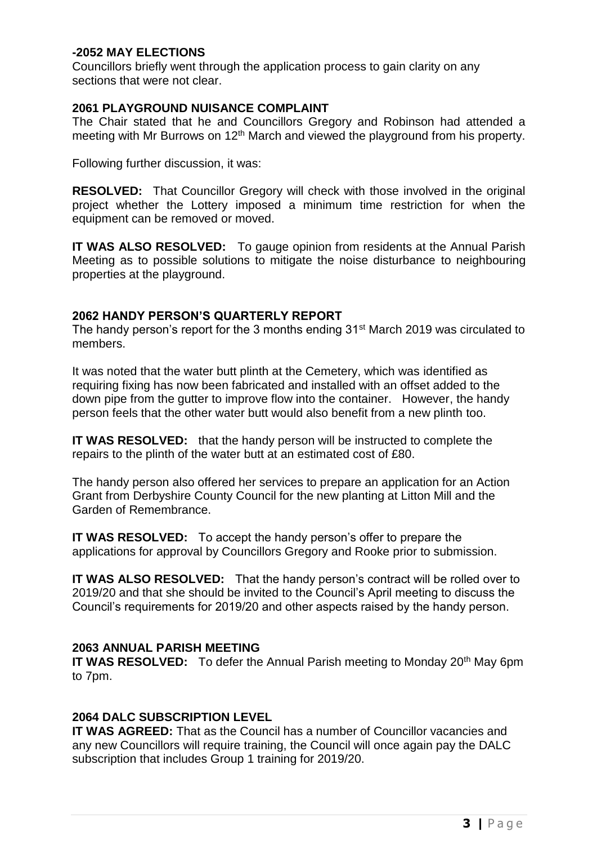### **-2052 MAY ELECTIONS**

Councillors briefly went through the application process to gain clarity on any sections that were not clear.

#### **2061 PLAYGROUND NUISANCE COMPLAINT**

The Chair stated that he and Councillors Gregory and Robinson had attended a meeting with Mr Burrows on 12<sup>th</sup> March and viewed the playground from his property.

Following further discussion, it was:

**RESOLVED:** That Councillor Gregory will check with those involved in the original project whether the Lottery imposed a minimum time restriction for when the equipment can be removed or moved.

**IT WAS ALSO RESOLVED:** To gauge opinion from residents at the Annual Parish Meeting as to possible solutions to mitigate the noise disturbance to neighbouring properties at the playground.

### **2062 HANDY PERSON'S QUARTERLY REPORT**

The handy person's report for the 3 months ending 31<sup>st</sup> March 2019 was circulated to members.

It was noted that the water butt plinth at the Cemetery, which was identified as requiring fixing has now been fabricated and installed with an offset added to the down pipe from the gutter to improve flow into the container. However, the handy person feels that the other water butt would also benefit from a new plinth too.

**IT WAS RESOLVED:** that the handy person will be instructed to complete the repairs to the plinth of the water butt at an estimated cost of £80.

The handy person also offered her services to prepare an application for an Action Grant from Derbyshire County Council for the new planting at Litton Mill and the Garden of Remembrance.

**IT WAS RESOLVED:** To accept the handy person's offer to prepare the applications for approval by Councillors Gregory and Rooke prior to submission.

**IT WAS ALSO RESOLVED:** That the handy person's contract will be rolled over to 2019/20 and that she should be invited to the Council's April meeting to discuss the Council's requirements for 2019/20 and other aspects raised by the handy person.

### **2063 ANNUAL PARISH MEETING**

**IT WAS RESOLVED:** To defer the Annual Parish meeting to Monday 20<sup>th</sup> May 6pm to 7pm.

### **2064 DALC SUBSCRIPTION LEVEL**

**IT WAS AGREED:** That as the Council has a number of Councillor vacancies and any new Councillors will require training, the Council will once again pay the DALC subscription that includes Group 1 training for 2019/20.